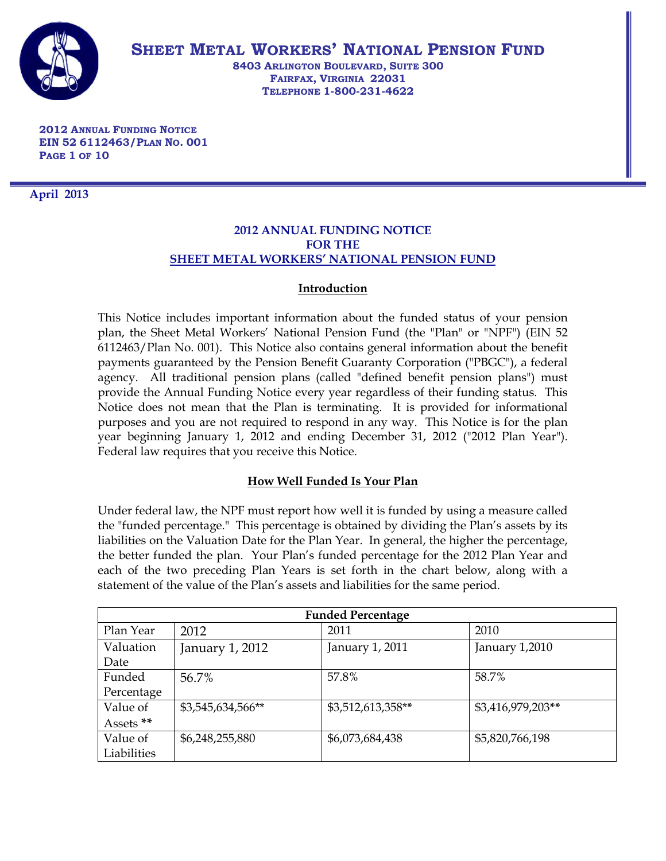

**SHEET METAL WORKERS' NATIONAL PENSION FUND**

**8403 ARLINGTON BOULEVARD, SUITE 300 FAIRFAX, VIRGINIA 22031 TELEPHONE 1-800-231-4622**

**2012 ANNUAL FUNDING NOTICE EIN 52 6112463/PLAN NO. 001 PAGE 1 OF 10**

**April 2013**

## **2012 ANNUAL FUNDING NOTICE FOR THE SHEET METAL WORKERS' NATIONAL PENSION FUND**

# **Introduction**

This Notice includes important information about the funded status of your pension plan, the Sheet Metal Workers' National Pension Fund (the "Plan" or "NPF") (EIN 52 6112463/Plan No. 001). This Notice also contains general information about the benefit payments guaranteed by the Pension Benefit Guaranty Corporation ("PBGC"), a federal agency. All traditional pension plans (called "defined benefit pension plans") must provide the Annual Funding Notice every year regardless of their funding status. This Notice does not mean that the Plan is terminating. It is provided for informational purposes and you are not required to respond in any way. This Notice is for the plan year beginning January 1, 2012 and ending December 31, 2012 ("2012 Plan Year"). Federal law requires that you receive this Notice.

# **How Well Funded Is Your Plan**

Under federal law, the NPF must report how well it is funded by using a measure called the "funded percentage." This percentage is obtained by dividing the Plan's assets by its liabilities on the Valuation Date for the Plan Year. In general, the higher the percentage, the better funded the plan. Your Plan's funded percentage for the 2012 Plan Year and each of the two preceding Plan Years is set forth in the chart below, along with a statement of the value of the Plan's assets and liabilities for the same period.

| <b>Funded Percentage</b> |                   |                   |                   |  |  |
|--------------------------|-------------------|-------------------|-------------------|--|--|
| Plan Year                | 2012              | 2011              | 2010              |  |  |
| Valuation                | January 1, 2012   | January 1, 2011   | January 1,2010    |  |  |
| Date                     |                   |                   |                   |  |  |
| Funded                   | 56.7%             | 57.8%             | 58.7%             |  |  |
| Percentage               |                   |                   |                   |  |  |
| Value of                 | \$3,545,634,566** | \$3,512,613,358** | \$3,416,979,203** |  |  |
| Assets <sup>**</sup>     |                   |                   |                   |  |  |
| Value of                 | \$6,248,255,880   | \$6,073,684,438   | \$5,820,766,198   |  |  |
| Liabilities              |                   |                   |                   |  |  |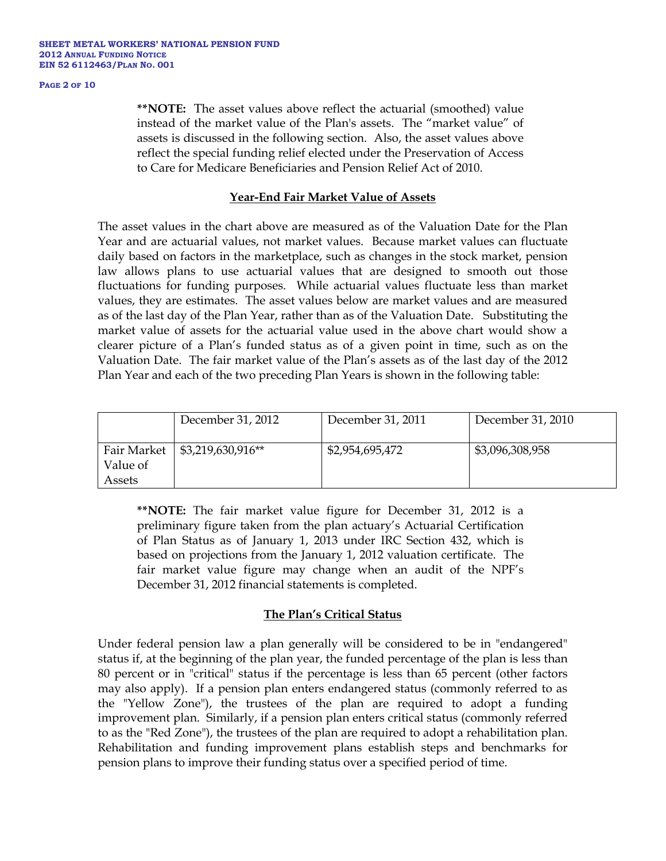### **PAGE 2 OF 10**

**\*\*NOTE:** The asset values above reflect the actuarial (smoothed) value instead of the market value of the Plan's assets. The "market value" of assets is discussed in the following section. Also, the asset values above reflect the special funding relief elected under the Preservation of Access to Care for Medicare Beneficiaries and Pension Relief Act of 2010.

### **Year-End Fair Market Value of Assets**

The asset values in the chart above are measured as of the Valuation Date for the Plan Year and are actuarial values, not market values. Because market values can fluctuate daily based on factors in the marketplace, such as changes in the stock market, pension law allows plans to use actuarial values that are designed to smooth out those fluctuations for funding purposes. While actuarial values fluctuate less than market values, they are estimates. The asset values below are market values and are measured as of the last day of the Plan Year, rather than as of the Valuation Date. Substituting the market value of assets for the actuarial value used in the above chart would show a clearer picture of a Plan's funded status as of a given point in time, such as on the Valuation Date. The fair market value of the Plan's assets as of the last day of the 2012 Plan Year and each of the two preceding Plan Years is shown in the following table:

|                         | December 31, 2012 | December 31, 2011 | December 31, 2010 |
|-------------------------|-------------------|-------------------|-------------------|
| Fair Market<br>Value of | \$3,219,630,916** | \$2,954,695,472   | \$3,096,308,958   |
| Assets                  |                   |                   |                   |

**\*\*NOTE:** The fair market value figure for December 31, 2012 is a preliminary figure taken from the plan actuary's Actuarial Certification of Plan Status as of January 1, 2013 under IRC Section 432, which is based on projections from the January 1, 2012 valuation certificate. The fair market value figure may change when an audit of the NPF's December 31, 2012 financial statements is completed.

### **The Plan's Critical Status**

Under federal pension law a plan generally will be considered to be in "endangered" status if, at the beginning of the plan year, the funded percentage of the plan is less than 80 percent or in "critical" status if the percentage is less than 65 percent (other factors may also apply). If a pension plan enters endangered status (commonly referred to as the "Yellow Zone"), the trustees of the plan are required to adopt a funding improvement plan. Similarly, if a pension plan enters critical status (commonly referred to as the "Red Zone"), the trustees of the plan are required to adopt a rehabilitation plan. Rehabilitation and funding improvement plans establish steps and benchmarks for pension plans to improve their funding status over a specified period of time.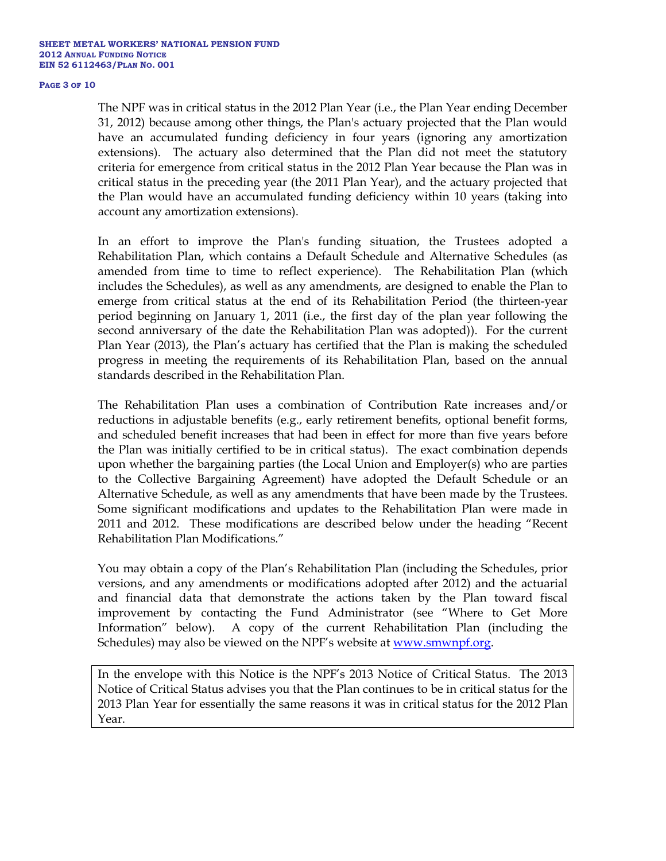### **PAGE 3 OF 10**

The NPF was in critical status in the 2012 Plan Year (i.e., the Plan Year ending December 31, 2012) because among other things, the Plan's actuary projected that the Plan would have an accumulated funding deficiency in four years (ignoring any amortization extensions). The actuary also determined that the Plan did not meet the statutory criteria for emergence from critical status in the 2012 Plan Year because the Plan was in critical status in the preceding year (the 2011 Plan Year), and the actuary projected that the Plan would have an accumulated funding deficiency within 10 years (taking into account any amortization extensions).

In an effort to improve the Plan's funding situation, the Trustees adopted a Rehabilitation Plan, which contains a Default Schedule and Alternative Schedules (as amended from time to time to reflect experience). The Rehabilitation Plan (which includes the Schedules), as well as any amendments, are designed to enable the Plan to emerge from critical status at the end of its Rehabilitation Period (the thirteen-year period beginning on January 1, 2011 (i.e., the first day of the plan year following the second anniversary of the date the Rehabilitation Plan was adopted)). For the current Plan Year (2013), the Plan's actuary has certified that the Plan is making the scheduled progress in meeting the requirements of its Rehabilitation Plan, based on the annual standards described in the Rehabilitation Plan.

The Rehabilitation Plan uses a combination of Contribution Rate increases and/or reductions in adjustable benefits (e.g., early retirement benefits, optional benefit forms, and scheduled benefit increases that had been in effect for more than five years before the Plan was initially certified to be in critical status). The exact combination depends upon whether the bargaining parties (the Local Union and Employer(s) who are parties to the Collective Bargaining Agreement) have adopted the Default Schedule or an Alternative Schedule, as well as any amendments that have been made by the Trustees. Some significant modifications and updates to the Rehabilitation Plan were made in 2011 and 2012. These modifications are described below under the heading "Recent Rehabilitation Plan Modifications."

You may obtain a copy of the Plan's Rehabilitation Plan (including the Schedules, prior versions, and any amendments or modifications adopted after 2012) and the actuarial and financial data that demonstrate the actions taken by the Plan toward fiscal improvement by contacting the Fund Administrator (see "Where to Get More Information" below). A copy of the current Rehabilitation Plan (including the Schedules) may also be viewed on the NPF's website at [www.smwnpf.org.](http://www.smwnpf.org/)

In the envelope with this Notice is the NPF's 2013 Notice of Critical Status. The 2013 Notice of Critical Status advises you that the Plan continues to be in critical status for the 2013 Plan Year for essentially the same reasons it was in critical status for the 2012 Plan Year.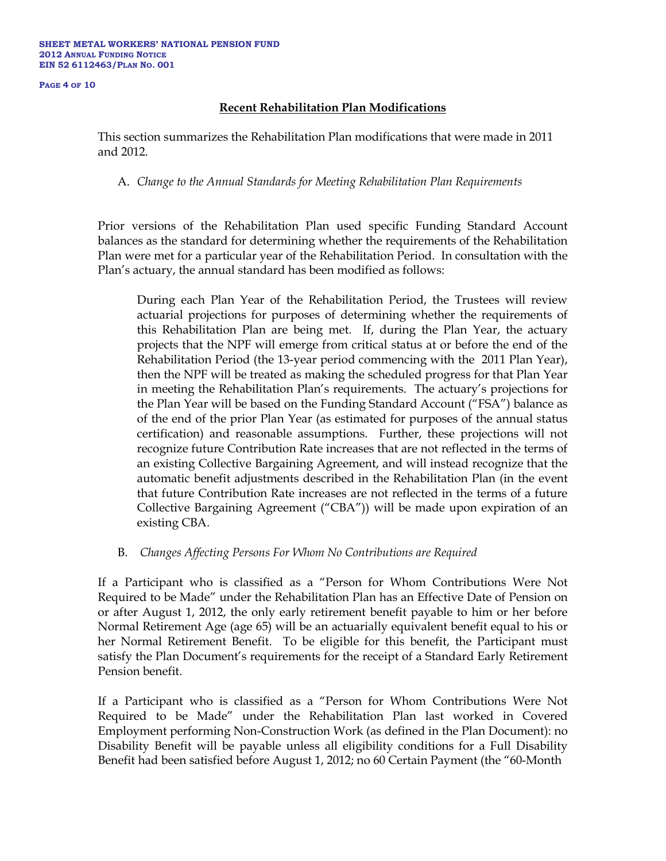**PAGE 4 OF 10**

# **Recent Rehabilitation Plan Modifications**

This section summarizes the Rehabilitation Plan modifications that were made in 2011 and 2012.

A. *Change to the Annual Standards for Meeting Rehabilitation Plan Requirements*

Prior versions of the Rehabilitation Plan used specific Funding Standard Account balances as the standard for determining whether the requirements of the Rehabilitation Plan were met for a particular year of the Rehabilitation Period. In consultation with the Plan's actuary, the annual standard has been modified as follows:

During each Plan Year of the Rehabilitation Period, the Trustees will review actuarial projections for purposes of determining whether the requirements of this Rehabilitation Plan are being met. If, during the Plan Year, the actuary projects that the NPF will emerge from critical status at or before the end of the Rehabilitation Period (the 13-year period commencing with the 2011 Plan Year), then the NPF will be treated as making the scheduled progress for that Plan Year in meeting the Rehabilitation Plan's requirements. The actuary's projections for the Plan Year will be based on the Funding Standard Account ("FSA") balance as of the end of the prior Plan Year (as estimated for purposes of the annual status certification) and reasonable assumptions. Further, these projections will not recognize future Contribution Rate increases that are not reflected in the terms of an existing Collective Bargaining Agreement, and will instead recognize that the automatic benefit adjustments described in the Rehabilitation Plan (in the event that future Contribution Rate increases are not reflected in the terms of a future Collective Bargaining Agreement ("CBA")) will be made upon expiration of an existing CBA.

B. *Changes Affecting Persons For Whom No Contributions are Required* 

If a Participant who is classified as a "Person for Whom Contributions Were Not Required to be Made" under the Rehabilitation Plan has an Effective Date of Pension on or after August 1, 2012, the only early retirement benefit payable to him or her before Normal Retirement Age (age 65) will be an actuarially equivalent benefit equal to his or her Normal Retirement Benefit. To be eligible for this benefit, the Participant must satisfy the Plan Document's requirements for the receipt of a Standard Early Retirement Pension benefit.

If a Participant who is classified as a "Person for Whom Contributions Were Not Required to be Made" under the Rehabilitation Plan last worked in Covered Employment performing Non-Construction Work (as defined in the Plan Document): no Disability Benefit will be payable unless all eligibility conditions for a Full Disability Benefit had been satisfied before August 1, 2012; no 60 Certain Payment (the "60-Month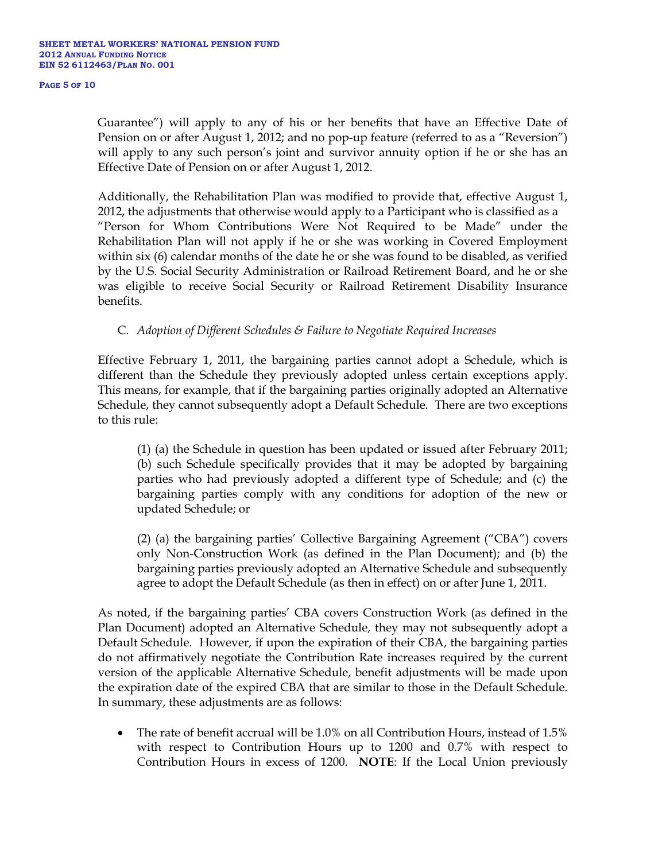#### **PAGE 5 OF 10**

Guarantee") will apply to any of his or her benefits that have an Effective Date of Pension on or after August 1, 2012; and no pop-up feature (referred to as a "Reversion") will apply to any such person's joint and survivor annuity option if he or she has an Effective Date of Pension on or after August 1, 2012.

Additionally, the Rehabilitation Plan was modified to provide that, effective August 1, 2012, the adjustments that otherwise would apply to a Participant who is classified as a "Person for Whom Contributions Were Not Required to be Made" under the Rehabilitation Plan will not apply if he or she was working in Covered Employment within six (6) calendar months of the date he or she was found to be disabled, as verified by the U.S. Social Security Administration or Railroad Retirement Board, and he or she was eligible to receive Social Security or Railroad Retirement Disability Insurance benefits.

# C. *Adoption of Different Schedules & Failure to Negotiate Required Increases*

Effective February 1, 2011, the bargaining parties cannot adopt a Schedule, which is different than the Schedule they previously adopted unless certain exceptions apply. This means, for example, that if the bargaining parties originally adopted an Alternative Schedule, they cannot subsequently adopt a Default Schedule. There are two exceptions to this rule:

(1) (a) the Schedule in question has been updated or issued after February 2011; (b) such Schedule specifically provides that it may be adopted by bargaining parties who had previously adopted a different type of Schedule; and (c) the bargaining parties comply with any conditions for adoption of the new or updated Schedule; or

(2) (a) the bargaining parties' Collective Bargaining Agreement ("CBA") covers only Non-Construction Work (as defined in the Plan Document); and (b) the bargaining parties previously adopted an Alternative Schedule and subsequently agree to adopt the Default Schedule (as then in effect) on or after June 1, 2011.

As noted, if the bargaining parties' CBA covers Construction Work (as defined in the Plan Document) adopted an Alternative Schedule, they may not subsequently adopt a Default Schedule. However, if upon the expiration of their CBA, the bargaining parties do not affirmatively negotiate the Contribution Rate increases required by the current version of the applicable Alternative Schedule, benefit adjustments will be made upon the expiration date of the expired CBA that are similar to those in the Default Schedule. In summary, these adjustments are as follows:

• The rate of benefit accrual will be 1.0% on all Contribution Hours, instead of 1.5% with respect to Contribution Hours up to 1200 and 0.7% with respect to Contribution Hours in excess of 1200. **NOTE**: If the Local Union previously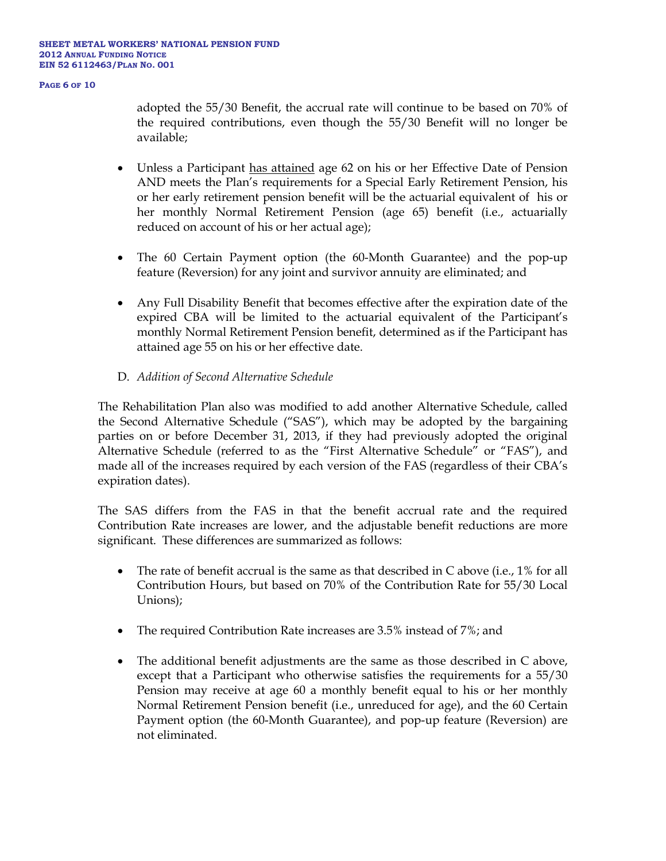**PAGE 6 OF 10**

adopted the 55/30 Benefit, the accrual rate will continue to be based on 70% of the required contributions, even though the 55/30 Benefit will no longer be available;

- Unless a Participant has attained age 62 on his or her Effective Date of Pension AND meets the Plan's requirements for a Special Early Retirement Pension, his or her early retirement pension benefit will be the actuarial equivalent of his or her monthly Normal Retirement Pension (age 65) benefit (i.e., actuarially reduced on account of his or her actual age);
- The 60 Certain Payment option (the 60-Month Guarantee) and the pop-up feature (Reversion) for any joint and survivor annuity are eliminated; and
- Any Full Disability Benefit that becomes effective after the expiration date of the expired CBA will be limited to the actuarial equivalent of the Participant's monthly Normal Retirement Pension benefit, determined as if the Participant has attained age 55 on his or her effective date.
- D. *Addition of Second Alternative Schedule*

The Rehabilitation Plan also was modified to add another Alternative Schedule, called the Second Alternative Schedule ("SAS"), which may be adopted by the bargaining parties on or before December 31, 2013, if they had previously adopted the original Alternative Schedule (referred to as the "First Alternative Schedule" or "FAS"), and made all of the increases required by each version of the FAS (regardless of their CBA's expiration dates).

The SAS differs from the FAS in that the benefit accrual rate and the required Contribution Rate increases are lower, and the adjustable benefit reductions are more significant. These differences are summarized as follows:

- The rate of benefit accrual is the same as that described in C above (i.e., 1% for all Contribution Hours, but based on 70% of the Contribution Rate for 55/30 Local Unions);
- The required Contribution Rate increases are 3.5% instead of 7%; and
- The additional benefit adjustments are the same as those described in C above, except that a Participant who otherwise satisfies the requirements for a 55/30 Pension may receive at age 60 a monthly benefit equal to his or her monthly Normal Retirement Pension benefit (i.e., unreduced for age), and the 60 Certain Payment option (the 60-Month Guarantee), and pop-up feature (Reversion) are not eliminated.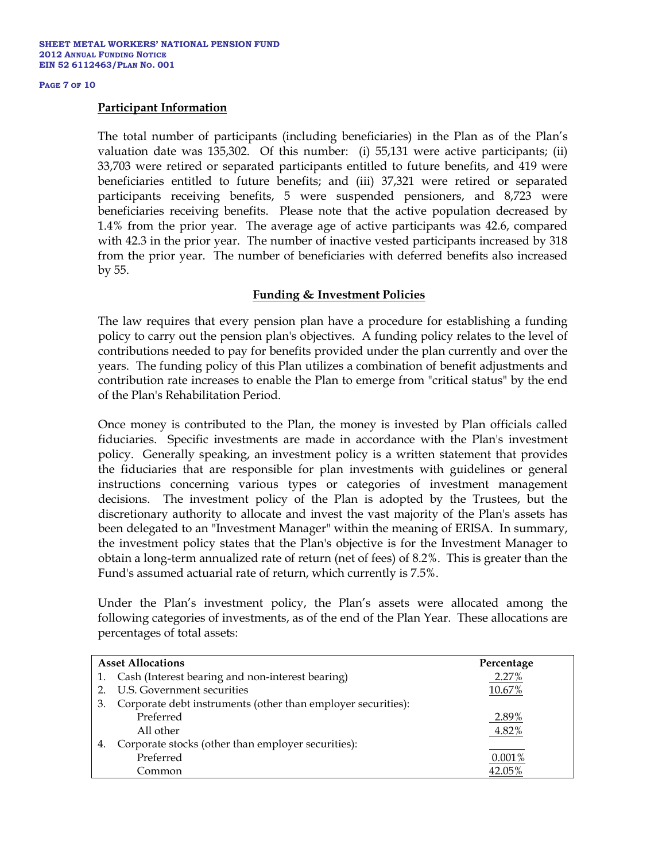### **PAGE 7 OF 10**

### **Participant Information**

The total number of participants (including beneficiaries) in the Plan as of the Plan's valuation date was 135,302. Of this number: (i) 55,131 were active participants; (ii) 33,703 were retired or separated participants entitled to future benefits, and 419 were beneficiaries entitled to future benefits; and (iii) 37,321 were retired or separated participants receiving benefits, 5 were suspended pensioners, and 8,723 were beneficiaries receiving benefits. Please note that the active population decreased by 1.4% from the prior year. The average age of active participants was 42.6, compared with 42.3 in the prior year. The number of inactive vested participants increased by 318 from the prior year. The number of beneficiaries with deferred benefits also increased by 55.

## **Funding & Investment Policies**

The law requires that every pension plan have a procedure for establishing a funding policy to carry out the pension plan's objectives. A funding policy relates to the level of contributions needed to pay for benefits provided under the plan currently and over the years. The funding policy of this Plan utilizes a combination of benefit adjustments and contribution rate increases to enable the Plan to emerge from "critical status" by the end of the Plan's Rehabilitation Period.

Once money is contributed to the Plan, the money is invested by Plan officials called fiduciaries. Specific investments are made in accordance with the Plan's investment policy. Generally speaking, an investment policy is a written statement that provides the fiduciaries that are responsible for plan investments with guidelines or general instructions concerning various types or categories of investment management decisions. The investment policy of the Plan is adopted by the Trustees, but the discretionary authority to allocate and invest the vast majority of the Plan's assets has been delegated to an "Investment Manager" within the meaning of ERISA. In summary, the investment policy states that the Plan's objective is for the Investment Manager to obtain a long-term annualized rate of return (net of fees) of 8.2%. This is greater than the Fund's assumed actuarial rate of return, which currently is 7.5%.

Under the Plan's investment policy, the Plan's assets were allocated among the following categories of investments, as of the end of the Plan Year. These allocations are percentages of total assets:

| <b>Asset Allocations</b> |                                                              | Percentage |
|--------------------------|--------------------------------------------------------------|------------|
|                          | 1. Cash (Interest bearing and non-interest bearing)          | 2.27%      |
|                          | 2. U.S. Government securities                                | 10.67%     |
| 3.                       | Corporate debt instruments (other than employer securities): |            |
|                          | Preferred                                                    | 2.89%      |
|                          | All other                                                    | 4.82%      |
| 4.                       | Corporate stocks (other than employer securities):           |            |
|                          | Preferred                                                    | 0.001%     |
|                          | Common                                                       | 42.05%     |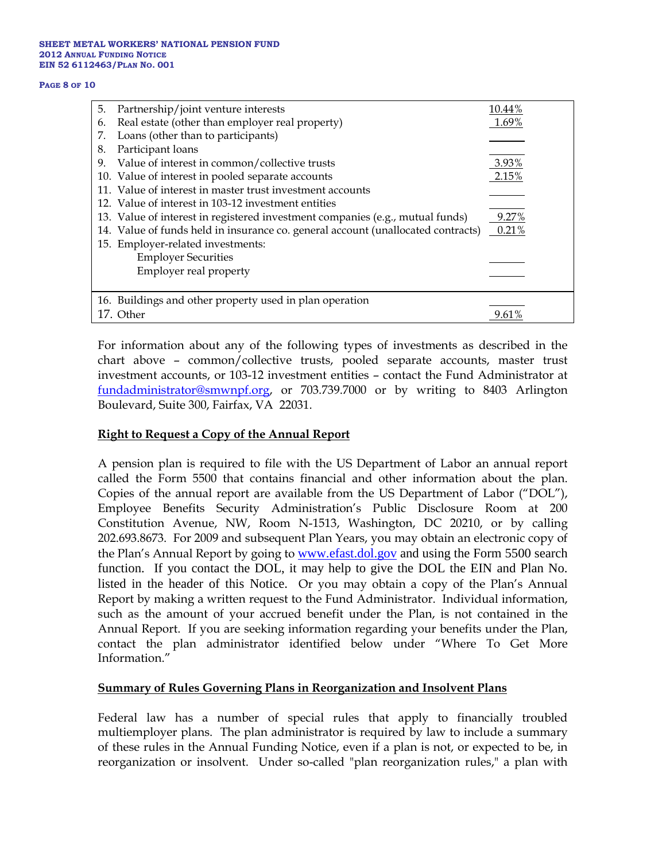#### **SHEET METAL WORKERS' NATIONAL PENSION FUND 2012 ANNUAL FUNDING NOTICE EIN 52 6112463/PLAN NO. 001**

#### **PAGE 8 OF 10**

| 5. | Partnership/joint venture interests                                              | 10.44% |
|----|----------------------------------------------------------------------------------|--------|
| 6. | Real estate (other than employer real property)                                  | 1.69%  |
| 7. | Loans (other than to participants)                                               |        |
| 8. | Participant loans                                                                |        |
| 9. | Value of interest in common/collective trusts                                    | 3.93%  |
|    | 10. Value of interest in pooled separate accounts                                | 2.15%  |
|    | 11. Value of interest in master trust investment accounts                        |        |
|    | 12. Value of interest in 103-12 investment entities                              |        |
|    | 13. Value of interest in registered investment companies (e.g., mutual funds)    | 9.27%  |
|    | 14. Value of funds held in insurance co. general account (unallocated contracts) | 0.21%  |
|    | 15. Employer-related investments:                                                |        |
|    | <b>Employer Securities</b>                                                       |        |
|    | Employer real property                                                           |        |
|    |                                                                                  |        |
|    | 16. Buildings and other property used in plan operation                          |        |
|    | 17. Other                                                                        | 9.61%  |

For information about any of the following types of investments as described in the chart above – common/collective trusts, pooled separate accounts, master trust investment accounts, or 103-12 investment entities – contact the Fund Administrator at [fundadministrator@smwnpf.org,](mailto:fundadministrator@smwnpf.org) or 703.739.7000 or by writing to 8403 Arlington Boulevard, Suite 300, Fairfax, VA 22031.

## **Right to Request a Copy of the Annual Report**

A pension plan is required to file with the US Department of Labor an annual report called the Form 5500 that contains financial and other information about the plan. Copies of the annual report are available from the US Department of Labor ("DOL"), Employee Benefits Security Administration's Public Disclosure Room at 200 Constitution Avenue, NW, Room N-1513, Washington, DC 20210, or by calling 202.693.8673. For 2009 and subsequent Plan Years, you may obtain an electronic copy of the Plan's Annual Report by going to **[www.efast.dol.gov](http://www.efast.dol.gov/)** and using the Form 5500 search function. If you contact the DOL, it may help to give the DOL the EIN and Plan No. listed in the header of this Notice. Or you may obtain a copy of the Plan's Annual Report by making a written request to the Fund Administrator. Individual information, such as the amount of your accrued benefit under the Plan, is not contained in the Annual Report. If you are seeking information regarding your benefits under the Plan, contact the plan administrator identified below under "Where To Get More Information."

## **Summary of Rules Governing Plans in Reorganization and Insolvent Plans**

Federal law has a number of special rules that apply to financially troubled multiemployer plans. The plan administrator is required by law to include a summary of these rules in the Annual Funding Notice, even if a plan is not, or expected to be, in reorganization or insolvent. Under so-called "plan reorganization rules," a plan with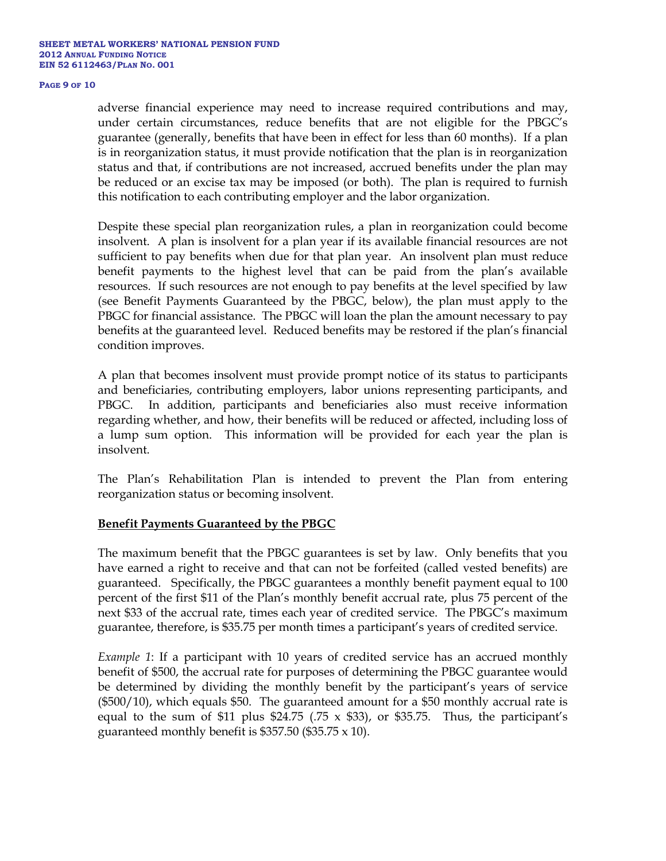### **PAGE 9 OF 10**

adverse financial experience may need to increase required contributions and may, under certain circumstances, reduce benefits that are not eligible for the PBGC's guarantee (generally, benefits that have been in effect for less than 60 months). If a plan is in reorganization status, it must provide notification that the plan is in reorganization status and that, if contributions are not increased, accrued benefits under the plan may be reduced or an excise tax may be imposed (or both). The plan is required to furnish this notification to each contributing employer and the labor organization.

Despite these special plan reorganization rules, a plan in reorganization could become insolvent. A plan is insolvent for a plan year if its available financial resources are not sufficient to pay benefits when due for that plan year. An insolvent plan must reduce benefit payments to the highest level that can be paid from the plan's available resources. If such resources are not enough to pay benefits at the level specified by law (see Benefit Payments Guaranteed by the PBGC, below), the plan must apply to the PBGC for financial assistance. The PBGC will loan the plan the amount necessary to pay benefits at the guaranteed level. Reduced benefits may be restored if the plan's financial condition improves.

A plan that becomes insolvent must provide prompt notice of its status to participants and beneficiaries, contributing employers, labor unions representing participants, and PBGC. In addition, participants and beneficiaries also must receive information regarding whether, and how, their benefits will be reduced or affected, including loss of a lump sum option. This information will be provided for each year the plan is insolvent.

The Plan's Rehabilitation Plan is intended to prevent the Plan from entering reorganization status or becoming insolvent.

### **Benefit Payments Guaranteed by the PBGC**

The maximum benefit that the PBGC guarantees is set by law. Only benefits that you have earned a right to receive and that can not be forfeited (called vested benefits) are guaranteed. Specifically, the PBGC guarantees a monthly benefit payment equal to 100 percent of the first \$11 of the Plan's monthly benefit accrual rate, plus 75 percent of the next \$33 of the accrual rate, times each year of credited service. The PBGC's maximum guarantee, therefore, is \$35.75 per month times a participant's years of credited service.

*Example 1*: If a participant with 10 years of credited service has an accrued monthly benefit of \$500, the accrual rate for purposes of determining the PBGC guarantee would be determined by dividing the monthly benefit by the participant's years of service (\$500/10), which equals \$50. The guaranteed amount for a \$50 monthly accrual rate is equal to the sum of \$11 plus \$24.75 (.75  $\times$  \$33), or \$35.75. Thus, the participant's guaranteed monthly benefit is \$357.50 (\$35.75  $\times$  10).